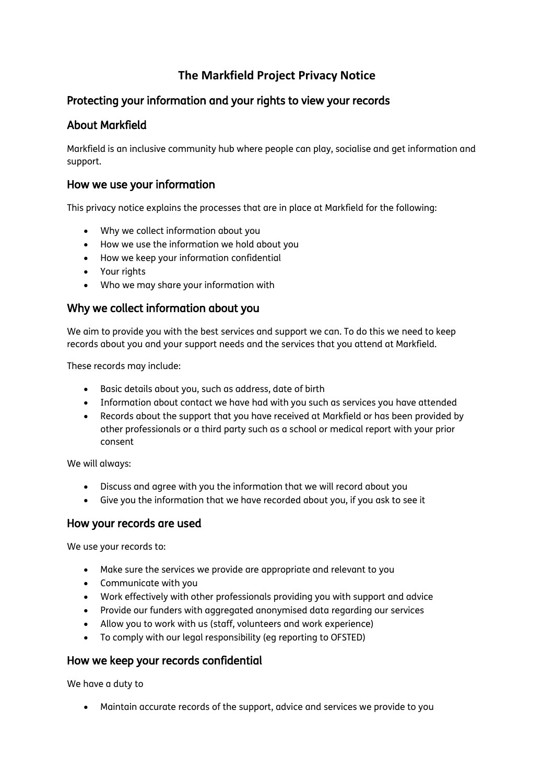# **The Markfield Project Privacy Notice**

# Protecting your information and your rights to view your records

# About Markfield

Markfield is an inclusive community hub where people can play, socialise and get information and support.

### How we use your information

This privacy notice explains the processes that are in place at Markfield for the following:

- Why we collect information about you
- How we use the information we hold about you
- How we keep your information confidential
- Your rights
- Who we may share your information with

# Why we collect information about you

We aim to provide you with the best services and support we can. To do this we need to keep records about you and your support needs and the services that you attend at Markfield.

These records may include:

- Basic details about you, such as address, date of birth
- Information about contact we have had with you such as services you have attended
- Records about the support that you have received at Markfield or has been provided by other professionals or a third party such as a school or medical report with your prior consent

We will always:

- Discuss and agree with you the information that we will record about you
- Give you the information that we have recorded about you, if you ask to see it

#### How your records are used

We use your records to:

- Make sure the services we provide are appropriate and relevant to you
- Communicate with you
- Work effectively with other professionals providing you with support and advice
- Provide our funders with aggregated anonymised data regarding our services
- Allow you to work with us (staff, volunteers and work experience)
- To comply with our legal responsibility (eg reporting to OFSTED)

# How we keep your records confidential

We have a duty to

Maintain accurate records of the support, advice and services we provide to you